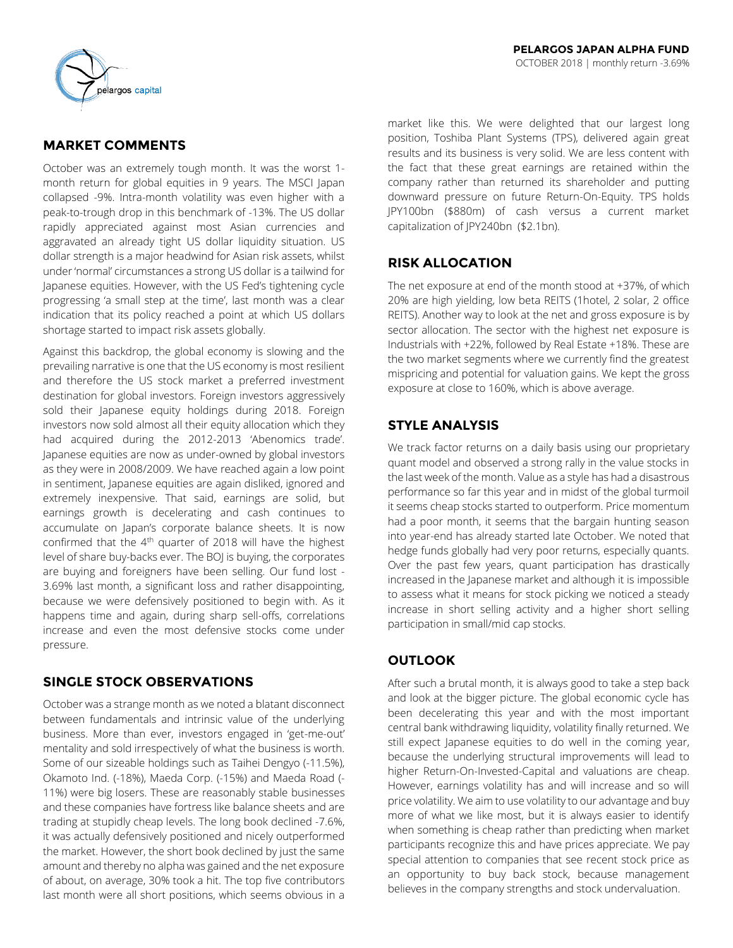

## **MARKET COMMENTS**

October was an extremely tough month. It was the worst 1 month return for global equities in 9 years. The MSCI Japan collapsed -9%. Intra-month volatility was even higher with a peak-to-trough drop in this benchmark of -13%. The US dollar rapidly appreciated against most Asian currencies and aggravated an already tight US dollar liquidity situation. US dollar strength is a major headwind for Asian risk assets, whilst under 'normal' circumstances a strong US dollar is a tailwind for Japanese equities. However, with the US Fed's tightening cycle progressing 'a small step at the time', last month was a clear indication that its policy reached a point at which US dollars shortage started to impact risk assets globally.

Against this backdrop, the global economy is slowing and the prevailing narrative is one that the US economy is most resilient and therefore the US stock market a preferred investment destination for global investors. Foreign investors aggressively sold their Japanese equity holdings during 2018. Foreign investors now sold almost all their equity allocation which they had acquired during the 2012-2013 'Abenomics trade'. Japanese equities are now as under-owned by global investors as they were in 2008/2009. We have reached again a low point in sentiment, Japanese equities are again disliked, ignored and extremely inexpensive. That said, earnings are solid, but earnings growth is decelerating and cash continues to accumulate on Japan's corporate balance sheets. It is now confirmed that the  $4<sup>th</sup>$  quarter of 2018 will have the highest level of share buy-backs ever. The BOJ is buying, the corporates are buying and foreigners have been selling. Our fund lost - 3.69% last month, a significant loss and rather disappointing, because we were defensively positioned to begin with. As it happens time and again, during sharp sell-offs, correlations increase and even the most defensive stocks come under pressure.

## **SINGLE STOCK OBSERVATIONS**

October was a strange month as we noted a blatant disconnect between fundamentals and intrinsic value of the underlying business. More than ever, investors engaged in 'get-me-out' mentality and sold irrespectively of what the business is worth. Some of our sizeable holdings such as Taihei Dengyo (-11.5%), Okamoto Ind. (-18%), Maeda Corp. (-15%) and Maeda Road (- 11%) were big losers. These are reasonably stable businesses and these companies have fortress like balance sheets and are trading at stupidly cheap levels. The long book declined -7.6%, it was actually defensively positioned and nicely outperformed the market. However, the short book declined by just the same amount and thereby no alpha was gained and the net exposure of about, on average, 30% took a hit. The top five contributors last month were all short positions, which seems obvious in a

market like this. We were delighted that our largest long position, Toshiba Plant Systems (TPS), delivered again great results and its business is very solid. We are less content with the fact that these great earnings are retained within the company rather than returned its shareholder and putting downward pressure on future Return-On-Equity. TPS holds JPY100bn (\$880m) of cash versus a current market capitalization of JPY240bn (\$2.1bn).

# **RISK ALLOCATION**

The net exposure at end of the month stood at +37%, of which 20% are high yielding, low beta REITS (1hotel, 2 solar, 2 office REITS). Another way to look at the net and gross exposure is by sector allocation. The sector with the highest net exposure is Industrials with +22%, followed by Real Estate +18%. These are the two market segments where we currently find the greatest mispricing and potential for valuation gains. We kept the gross exposure at close to 160%, which is above average.

# **STYLE ANALYSIS**

We track factor returns on a daily basis using our proprietary quant model and observed a strong rally in the value stocks in the last week of the month. Value as a style has had a disastrous performance so far this year and in midst of the global turmoil it seems cheap stocks started to outperform. Price momentum had a poor month, it seems that the bargain hunting season into year-end has already started late October. We noted that hedge funds globally had very poor returns, especially quants. Over the past few years, quant participation has drastically increased in the Japanese market and although it is impossible to assess what it means for stock picking we noticed a steady increase in short selling activity and a higher short selling participation in small/mid cap stocks.

# **OUTLOOK**

After such a brutal month, it is always good to take a step back and look at the bigger picture. The global economic cycle has been decelerating this year and with the most important central bank withdrawing liquidity, volatility finally returned. We still expect Japanese equities to do well in the coming year, because the underlying structural improvements will lead to higher Return-On-Invested-Capital and valuations are cheap. However, earnings volatility has and will increase and so will price volatility. We aim to use volatility to our advantage and buy more of what we like most, but it is always easier to identify when something is cheap rather than predicting when market participants recognize this and have prices appreciate. We pay special attention to companies that see recent stock price as an opportunity to buy back stock, because management believes in the company strengths and stock undervaluation.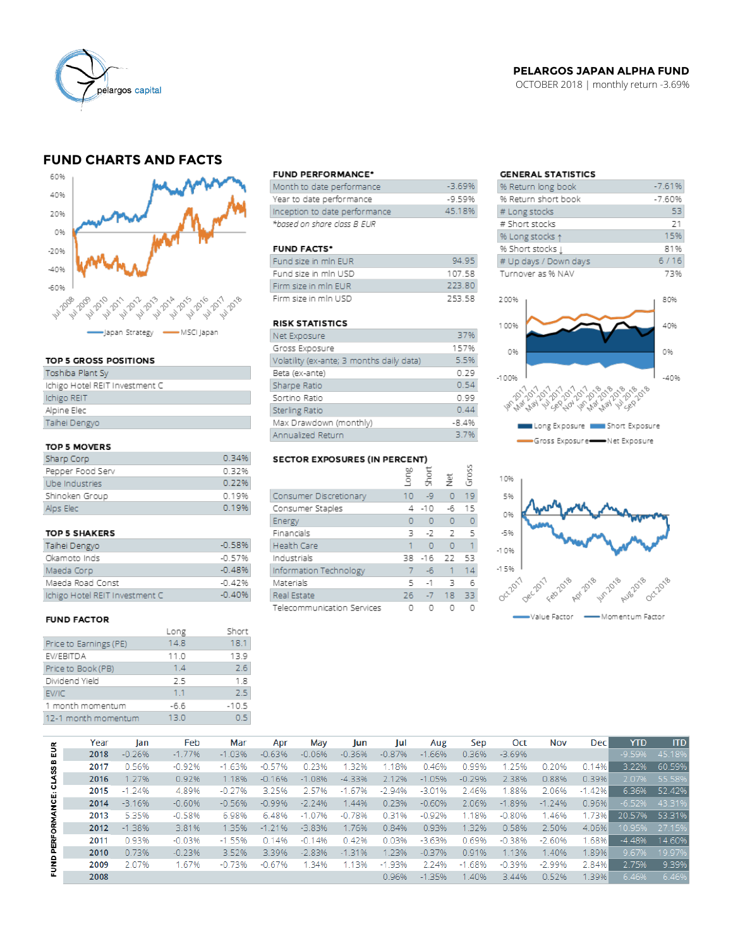

### **PELARGOS JAPAN ALPHA FUND**

OCTOBER 2018 | monthly return -3.69%

## **FUND CHARTS AND FACTS**



#### TOP 5 GROSS POSITIONS

| Toshiba Plant Sy               |
|--------------------------------|
| Ichigo Hotel REIT Investment C |
| Ichigo REIT                    |
| Alpine Elec                    |
| Taihei Dengyo                  |
|                                |

### TOP 5 MOVERS

| Sharp Corp       | 0.34% |
|------------------|-------|
| Pepper Food Serv | 0.32% |
| Ube Industries   | 0.22% |
| Shinoken Group   | 0.19% |
| Alps Elec        | 0.19% |

#### TOP 5 SHAKERS

| Taihei Dengyo                  | $-0.58%$ |
|--------------------------------|----------|
| Okamoto Inds                   | $-0.57%$ |
| Maeda Corp                     | $-0.48%$ |
| Maeda Road Const               | $-0.42%$ |
| Ichigo Hotel REIT Investment C | $-0.40%$ |

#### **FUND FACTOR**

|                        | Long   | Short   |
|------------------------|--------|---------|
| Price to Earnings (PE) | 14.8   | 18.1    |
| EV/EBITDA              | 11.0   | 13.9    |
| Price to Book (PB)     | 1.4    | 2.6     |
| Dividend Yield         | 2.5    | 1.8     |
| EV/IC                  | 11     | 2.5     |
| 1 month momentum       | $-6.6$ | $-10.5$ |
| 12-1 month momentum    | 13.0   | 0. S    |
|                        |        |         |

#### **FUND PERFORMANCE\***

| Month to date performance     | $-3.69%$ |
|-------------------------------|----------|
| Year to date performance      | $-9.59%$ |
| Inception to date performance | 45.18%   |
| *based on share class B EUR   |          |

#### **FUND FACTS\***

| Fund size in min EUR | 94.95  |
|----------------------|--------|
| Fund size in min USD | 10758  |
| Firm size in min EUR | 223.80 |
| Firm size in mln USD | 253.58 |

### **RISK STATISTICS**

| Net Exposure                              | 37%     |
|-------------------------------------------|---------|
| Gross Exposure                            | 157%    |
| Volatility (ex-ante; 3 months daily data) | 5.5%    |
| Beta (ex-ante)                            | 0.29    |
| Sharpe Ratio                              | 0.54    |
| Sortino Ratio                             | 0.99    |
| Sterling Ratio                            | 0.44    |
| Max Drawdown (monthly)                    | $-8.4%$ |
| Annualized Return                         | 3.7%    |

#### SECTOR EXPOSURES (IN PERCENT) bo.

| $\cdots$                   | auo-     | Short | Ξ              | Gross |
|----------------------------|----------|-------|----------------|-------|
| Consumer Discretionary     | 10       | Lg    | $\overline{0}$ | 19    |
| Consumer Staples           | 4        | -10   | -6             | 15    |
| Energy                     | $\Omega$ | O     | 0              | 0     |
| Financials                 | ٦        | -2    | 2              | 5     |
| <b>Health Care</b>         |          | O     | Ō              | 1     |
| Industrials                | 38       | $-16$ | 22             | 53    |
| Information Technology     | 7        | -6    | 1              | 14    |
| Materials                  | 5        | $-1$  | 3              | 6     |
| Real Estate                | 26       | $-7$  | 18             | 33    |
| Telecommunication Services | 0        |       |                |       |

### **GENERAL STATISTICS**

| % Return long book     | $-7.61%$ |
|------------------------|----------|
| % Return short book    | $-7.60%$ |
| # Long stocks          | 53       |
| # Short stocks         | 21       |
| % Long stocks 1        | 15%      |
| % Short stocks $\perp$ | 81%      |
| # Up days / Down days  | 6/16     |
| Turnover as % NAV      | 73%      |





|                      | Year | lan      | Feb      | Mar      | Apr      | May      | Jun      | Jul      | Aug      | Sep      | Oct      | Nov      | <b>Dec</b> | <b>YTD</b> | <b>ITD</b> |
|----------------------|------|----------|----------|----------|----------|----------|----------|----------|----------|----------|----------|----------|------------|------------|------------|
| 틦                    | 2018 | $-0.26%$ | $-1.77%$ | $-1.03%$ | $-0.63%$ | $-0.06%$ | $-0.36%$ | $-0.87%$ | $-1.66%$ | 0.36%    | $-3.69%$ |          |            | $-9.59%$   | 45.18%     |
|                      | 2017 | 0.56%    | $-0.92%$ | $-1.63%$ | $-0.57%$ | 0.23%    | 1.32%    | 1.18%    | 0.46%    | 0.99%    | 1.25%    | 0.20%    | 0.14%      | 3.22%      | 60.59%     |
|                      | 2016 | 1.27%    | 0.92%    | 1.18%    | $-0.16%$ | $-1.08%$ | $-4.33%$ | 2.12%    | $-1.05%$ | $-0.29%$ | 2.38%    | 0.88%    | 0.39%      | 2.07%      | 55.58%     |
|                      | 2015 | $-1.24%$ | 4.89%    | $-0.27%$ | 3.25%    | 2.57%    | $-1.67%$ | $-2.94%$ | $-3.01%$ | 2.46%    | .88%     | 2.06%    | $-1.42\%$  | 6.36%      | 52.42%     |
| PERFORMANCE: CLASS B | 2014 | $-3.16%$ | $-0.60%$ | $-0.56%$ | $-0.99%$ | $-2.24%$ | 1.44%    | 0.23%    | $-0.60%$ | 2.06%    | $-1.89%$ | $-1.24%$ | 0.96%      | $-6.52%$   | 43.31%     |
|                      | 2013 | 5.35%    | $-0.58%$ | 6.98%    | 6.48%    | $-1.07%$ | $-0.78%$ | 0.31%    | $-0.92%$ | 1.18%    | $-0.80%$ | 1.46%    | 1.73%      | 20.57%     | 53.31%     |
|                      | 2012 | $-1.38%$ | 3.81%    | 1.35%    | $-1.21%$ | $-3.83%$ | 1.76%    | 0.84%    | 0.93%    | 1.32%    | 0.58%    | 2.50%    | 4.06%      | 10.95%     | 27.15%     |
|                      | 2011 | 0.93%    | $-0.03%$ | $-1.55%$ | 0.14%    | $-0.14%$ | 0.42%    | 0.03%    | $-3.63%$ | 0.69%    | $-0.38%$ | $-2.60%$ | 1.68%      | $-4.48%$   | 14.60%     |
|                      | 2010 | 0.73%    | $-0.23%$ | 3.52%    | 3.39%    | $-2.83%$ | $-1.31%$ | 1.23%    | $-0.37%$ | 0.91%    | 1.13%    | 1.40%    | 1.89%      | 9.67%      | 19.97%     |
| Ē                    | 2009 | 2.07%    | 1.67%    | $-0.73%$ | $-0.67%$ | 1.34%    | 1.13%    | $-1.93%$ | 2.24%    | $-1.68%$ | $-0.39%$ | $-2.99%$ | 2.84%      | 2.75%      | 9.39%      |
|                      | 2008 |          |          |          |          |          |          | 0.96%    | $-1.35%$ | .40%     | 3.44%    | 0.52%    | 1.39%      | 6.46%      | 6.46%      |